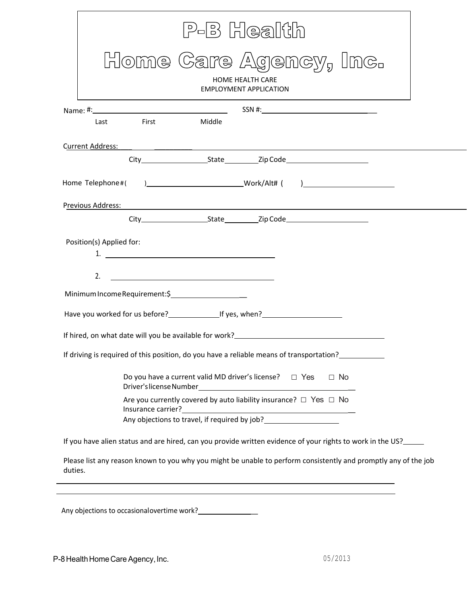|      | Home Care Agency, Inc.                                                                                                                                                                                                            |        | <b>HOME HEALTH CARE</b><br><b>EMPLOYMENT APPLICATION</b>             |           |  |
|------|-----------------------------------------------------------------------------------------------------------------------------------------------------------------------------------------------------------------------------------|--------|----------------------------------------------------------------------|-----------|--|
|      |                                                                                                                                                                                                                                   |        |                                                                      |           |  |
| Last | <b>First Contract Contract Contract Property</b>                                                                                                                                                                                  | Middle |                                                                      |           |  |
|      | Current Address: Andreas Andreas Andreas Andreas Andreas Andreas Andreas Andreas Andreas Andreas Andreas Andreas Andreas Andreas Andreas Andreas Andreas Andreas Andreas Andreas Andreas Andreas Andreas Andreas Andreas Andre    |        |                                                                      |           |  |
|      |                                                                                                                                                                                                                                   |        |                                                                      |           |  |
|      |                                                                                                                                                                                                                                   |        |                                                                      |           |  |
|      | Previous Address: 2008 - 2008 - 2009 - 2010 - 2010 - 2010 - 2010 - 2010 - 2010 - 2010 - 2010 - 2010 - 2010 - 20                                                                                                                   |        |                                                                      |           |  |
|      |                                                                                                                                                                                                                                   |        |                                                                      |           |  |
| 2.   | 1. $\overline{\phantom{a}}$ 1.                                                                                                                                                                                                    |        |                                                                      |           |  |
|      | Minimum Income Requirement:\$<br>Have you worked for us before?<br>If yes, when?                                                                                                                                                  |        |                                                                      |           |  |
|      | If hired, on what date will you be available for work?<br>1920 - The Mann Mart Connection on the service will be available for work?<br>2020 - The Mann Mart Connection on the service will be a service with the service will be |        |                                                                      |           |  |
|      | If driving is required of this position, do you have a reliable means of transportation?                                                                                                                                          |        |                                                                      |           |  |
|      | Do you have a current valid MD driver's license? $\Box$ Yes<br>Driver's license Number                                                                                                                                            |        | <u> 1989 - Johann Barn, mars ar breist fan de Amerikaanske komme</u> | $\Box$ No |  |
|      | Are you currently covered by auto liability insurance? $\Box$ Yes $\Box$ No                                                                                                                                                       |        |                                                                      |           |  |
|      | If you have alien status and are hired, can you provide written evidence of your rights to work in the US?____                                                                                                                    |        |                                                                      |           |  |

Any objections to occasionalovertime work? \_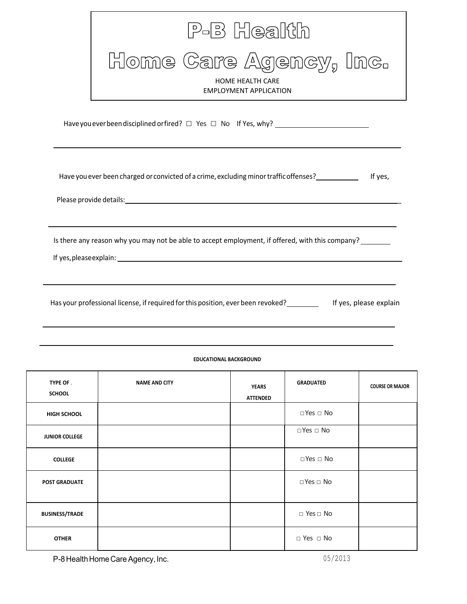| P-B Health                                                                                                                                                                                                                                                                                                                         |
|------------------------------------------------------------------------------------------------------------------------------------------------------------------------------------------------------------------------------------------------------------------------------------------------------------------------------------|
| Home Care Agency, Inc.<br><b>HOME HEALTH CARE</b><br><b>EMPLOYMENT APPLICATION</b>                                                                                                                                                                                                                                                 |
| Have you ever been disciplined or fired? □ Yes □ No If Yes, why? _______________                                                                                                                                                                                                                                                   |
| Have you ever been charged or convicted of a crime, excluding minor traffic offenses?<br>If yes,                                                                                                                                                                                                                                   |
| Is there any reason why you may not be able to accept employment, if offered, with this company?<br>If yes, please explain: example and a set of the set of the set of the set of the set of the set of the set of the set of the set of the set of the set of the set of the set of the set of the set of the set of the set of t |
| Has your professional license, if required for this position, ever been revoked? If yes, please explain                                                                                                                                                                                                                            |

# P-8 Health Home Care Agency, Inc. 6. The Case of the Case of the Case of the Case of the Case of the Case of the Case of the Case of the Case of the Case of the Case of the Case of the Case of the Case of the Case of the C **TYPE OF** . **SCHOOL NAME AND CITY YEARS ATTENDED GRADUATED COURSE OR MAJOR HIGH SCHOOL** □ Yes □ No **JUNIOR COLLEGE** □ Yes □ No **COLLEGE** □ Noted in the set of the set of the set of the set of the set of the set of the set of the set of the set of the set of the set of the set of the set of the set of the set of the set of the set of the set of th **POST GRADUATE** □ NO **BUSINESS/TRADE** □ Yes □ No **OTHER**  $\Box$  Yes  $\Box$  No

#### **EDUCATIONAL BACKGROUND**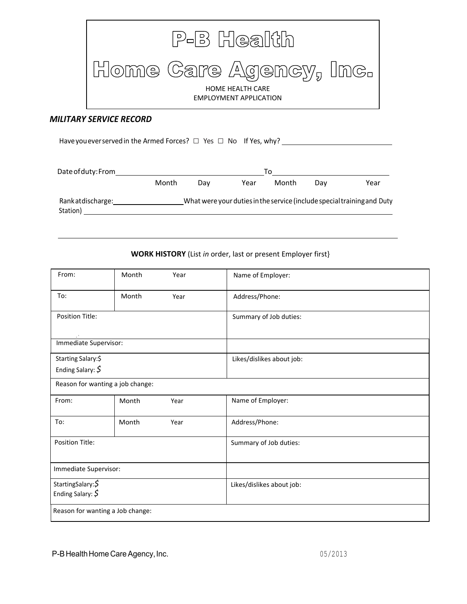

#### *MILITARY SERVICE RECORD*

Have you ever served in the Armed Forces? □ Yes □ No If Yes, why? \_\_\_\_\_\_\_\_\_\_\_\_\_\_ Dateof duty: From To Month Day Year Month Day Year

Rankatdischarge: \_\_\_\_\_\_\_\_\_\_\_\_\_\_\_\_\_\_\_\_\_What were your duties in the service (include special training and Duty Station) and the station of the station of the station of the station of the station of the station of the station of the stational station of the stational station of the stational station of the stational stational stati

#### **WORK HISTORY** (List *in* order, last or present Employer first}

| From:                                        | Month | Year | Name of Employer:         |
|----------------------------------------------|-------|------|---------------------------|
| To:                                          | Month | Year | Address/Phone:            |
| <b>Position Title:</b>                       |       |      | Summary of Job duties:    |
| Immediate Supervisor:                        |       |      |                           |
| Starting Salary:\$<br>Ending Salary: $\oint$ |       |      | Likes/dislikes about job: |
| Reason for wanting a job change:             |       |      |                           |
| From:                                        | Month | Year | Name of Employer:         |
| To:                                          | Month | Year | Address/Phone:            |
| <b>Position Title:</b>                       |       |      | Summary of Job duties:    |
| Immediate Supervisor:                        |       |      |                           |
| StartingSalary: \$<br>Ending Salary: $\oint$ |       |      | Likes/dislikes about job: |
| Reason for wanting a Job change:             |       |      |                           |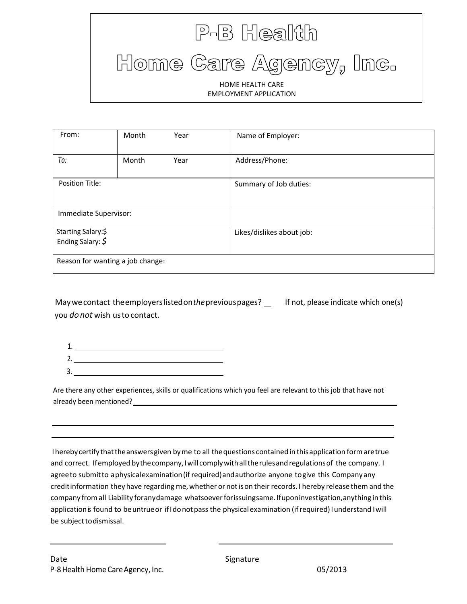# P-B Health Home Care Agency, Inc. HOME HEALTH CARE EMPLOYMENT APPLICATION

| From:                                   | Month | Year | Name of Employer:         |
|-----------------------------------------|-------|------|---------------------------|
| To:                                     | Month | Year | Address/Phone:            |
| <b>Position Title:</b>                  |       |      | Summary of Job duties:    |
| Immediate Supervisor:                   |       |      |                           |
| Starting Salary:\$<br>Ending Salary: \$ |       |      | Likes/dislikes about job: |
| Reason for wanting a job change:        |       |      |                           |

May we contact the employers listed on the previous pages? \_\_ If not, please indicate which one(s) you *donot* wish usto contact.

| ш. |  |
|----|--|

Are there any other experiences, skills or qualifications which you feel are relevant to this job that have not already been mentioned?

I hereby certify that the answers given by me to all the questions contained in thisapplication form are true and correct. If employed by the company, I will comply with all the rules and regulations of the company. I agree to submit to a physical examination (if required) and authorize anyone to give this Company any credit information they have regarding me, whether or notison their records. I hereby release them and the company from all Liability for any damage whatsoever forissuing same. If upon investigation, anything in this application is found to be untrue or if I do not pass the physical examination (if required) I understand I will be subject to dismissal.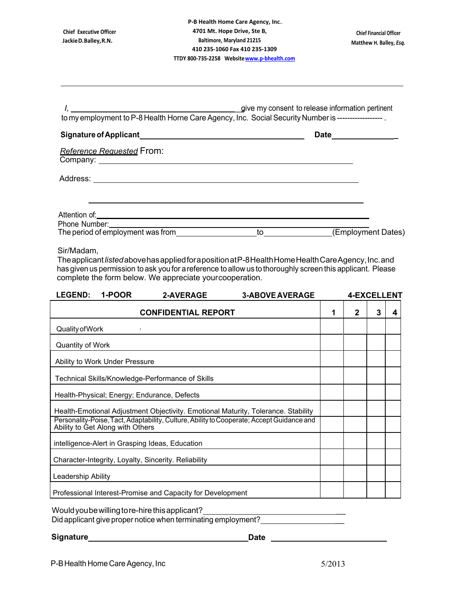| <b>Chief Executive Officer</b><br>Jackie D. Balley, R.N.                                                                                                                                                                                                                                                                  |                            | P-B Health Home Care Agency, Inc<br>4701 Mt. Hope Drive, Ste B,<br><b>Baltimore, Maryland 21215</b><br>410 235-1060 Fax 410 235-1309<br>TTDY 800-735-2258 Website www.p-bhealth.com |                      |                    | <b>Chief Financial Officer</b> | Matthew H. Balley, Esq. |
|---------------------------------------------------------------------------------------------------------------------------------------------------------------------------------------------------------------------------------------------------------------------------------------------------------------------------|----------------------------|-------------------------------------------------------------------------------------------------------------------------------------------------------------------------------------|----------------------|--------------------|--------------------------------|-------------------------|
| J, give my consent to release information pertinent<br>to my employment to P-8 Health Horne Care Agency, Inc. Social Security Number is -------------------                                                                                                                                                               |                            |                                                                                                                                                                                     |                      |                    |                                |                         |
|                                                                                                                                                                                                                                                                                                                           |                            |                                                                                                                                                                                     | Date________________ |                    |                                |                         |
| <b>Reference Requested From:</b><br>Company: <u>example and the company</u> company of the company of the company of the company of the company of the company of the company of the company of the company of the company of the company of the company of the company                                                   |                            |                                                                                                                                                                                     |                      |                    |                                |                         |
| Attention of: <u>example and the set of the set of the set of the set of the set of the set of the set of the set of the set of the set of the set of the set of the set of the set of the set of the set of the set of the set </u>                                                                                      |                            |                                                                                                                                                                                     |                      |                    |                                |                         |
| Sir/Madam,<br>The applicant listed above has applied for a position at P-8 Health Home Health Care Agency, Inc. and<br>has given us permission to ask you for a reference to allow us to thoroughly screen this applicant. Please<br>complete the form below. We appreciate your cooperation.<br><b>LEGEND:</b><br>1-POOR | <b>2-AVERAGE</b>           | <b>3-ABOVE AVERAGE</b>                                                                                                                                                              |                      | <b>4-EXCELLENT</b> |                                |                         |
|                                                                                                                                                                                                                                                                                                                           | <b>CONFIDENTIAL REPORT</b> |                                                                                                                                                                                     | 1                    | 2                  | 3                              | 4                       |
| Quality of Work<br>$\mathbf{I}_{\text{max}}$                                                                                                                                                                                                                                                                              |                            |                                                                                                                                                                                     |                      |                    |                                |                         |
| Quantity of Work                                                                                                                                                                                                                                                                                                          |                            |                                                                                                                                                                                     |                      |                    |                                |                         |
| Ability to Work Under Pressure                                                                                                                                                                                                                                                                                            |                            |                                                                                                                                                                                     |                      |                    |                                |                         |
| Technical Skills/Knowledge-Performance of Skills                                                                                                                                                                                                                                                                          |                            |                                                                                                                                                                                     |                      |                    |                                |                         |
| Health-Physical; Energy; Endurance, Defects                                                                                                                                                                                                                                                                               |                            |                                                                                                                                                                                     |                      |                    |                                |                         |
| Health-Emotional Adjustment Objectivity. Emotional Maturity, Tolerance. Stability<br>Personality-Poise, Tact, Adaptability, Culture, Ability to Cooperate; Accept Guidance and<br>Ability to Get Along with Others                                                                                                        |                            |                                                                                                                                                                                     |                      |                    |                                |                         |
| intelligence-Alert in Grasping Ideas, Education                                                                                                                                                                                                                                                                           |                            |                                                                                                                                                                                     |                      |                    |                                |                         |
| Character-Integrity, Loyalty, Sincerity. Reliability                                                                                                                                                                                                                                                                      |                            |                                                                                                                                                                                     |                      |                    |                                |                         |
| Leadership Ability                                                                                                                                                                                                                                                                                                        |                            |                                                                                                                                                                                     |                      |                    |                                |                         |
| Professional Interest-Promise and Capacity for Development                                                                                                                                                                                                                                                                |                            |                                                                                                                                                                                     |                      |                    |                                |                         |

Would you be willing to re-hire this applicant?

Did applicant give proper notice when terminating employment?

**Signature** Date **Date Date Date Date Date**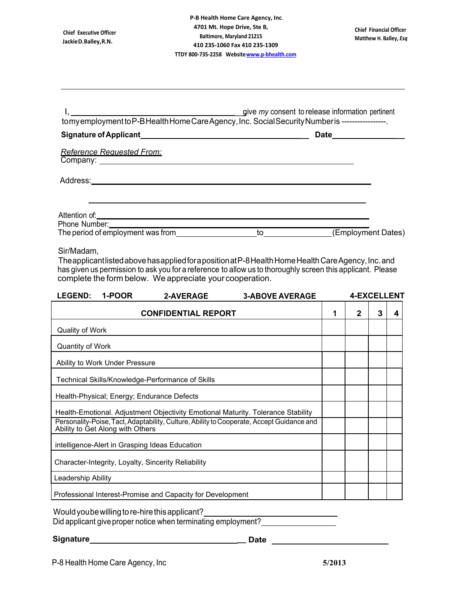| tomyemployment to P-B Health Home Care Agency, Inc. Social Security Number is -----------------. |    |                     |
|--------------------------------------------------------------------------------------------------|----|---------------------|
|                                                                                                  |    | Date ______________ |
| <b>Reference Requested From:</b>                                                                 |    |                     |
| Address:                                                                                         |    |                     |
| Attention of: <u>contained</u><br>Phone Number: __________________                               |    |                     |
| The period of employment was from                                                                | to | (Employment Dates)  |

#### Sir/Madam,

The applicant listed above has applied for a position at P-8 Health Home Health Care Agency, Inc. and has given us permission to ask you for a reference to allow us to thoroughly screen this applicant. Please complete the form below. We appreciate your cooperation.

| <b>LEGEND:</b>     | 1-POOR                           | <b>2-AVERAGE</b>                                           | <b>3-ABOVE AVERAGE</b>                                                                                                                                                        |   | <b>4-EXCELLENT</b> |   |   |
|--------------------|----------------------------------|------------------------------------------------------------|-------------------------------------------------------------------------------------------------------------------------------------------------------------------------------|---|--------------------|---|---|
|                    |                                  | <b>CONFIDENTIAL REPORT</b>                                 |                                                                                                                                                                               | 1 | 2                  | 3 | 4 |
| Quality of Work    |                                  |                                                            |                                                                                                                                                                               |   |                    |   |   |
| Quantity of Work   |                                  |                                                            |                                                                                                                                                                               |   |                    |   |   |
|                    | Ability to Work Under Pressure   |                                                            |                                                                                                                                                                               |   |                    |   |   |
|                    |                                  | Technical Skills/Knowledge-Performance of Skills           |                                                                                                                                                                               |   |                    |   |   |
|                    |                                  | Health-Physical; Energy; Endurance Defects                 |                                                                                                                                                                               |   |                    |   |   |
|                    | Ability to Get Along with Others |                                                            | Health-Emotional. Adjustment Objectivity Emotional Maturity. Tolerance Stability<br>Personality-Poise, Tact, Adaptability, Culture, Ability to Cooperate, Accept Guidance and |   |                    |   |   |
|                    |                                  | intelligence-Alert in Grasping Ideas Education             |                                                                                                                                                                               |   |                    |   |   |
|                    |                                  | Character-Integrity, Loyalty, Sincerity Reliability        |                                                                                                                                                                               |   |                    |   |   |
| Leadership Ability |                                  |                                                            |                                                                                                                                                                               |   |                    |   |   |
|                    |                                  | Professional Interest-Promise and Capacity for Development |                                                                                                                                                                               |   |                    |   |   |

Wouldyoubewilling to re-hire this applicant?

Did applicant give proper notice when terminating employment?

**Signature \_ Date**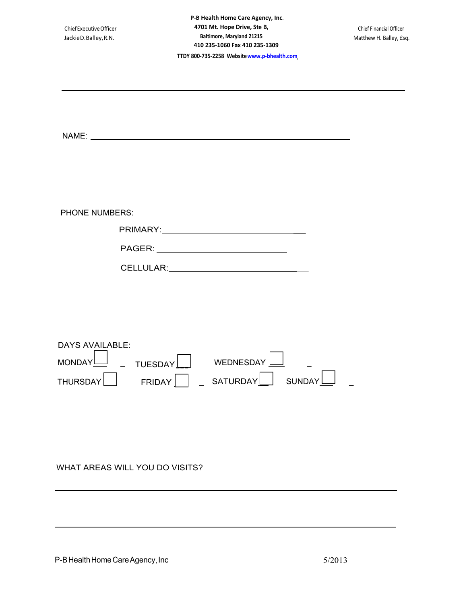| Chief Executive Officer<br>JackieD.Balley, R.N.                                                                                                                                                                                                                          | P-B Health Home Care Agency, Inc.<br>4701 Mt. Hope Drive, Ste B,<br><b>Baltimore, Maryland 21215</b><br>410 235-1060 Fax 410 235-1309<br>TTDY 800-735-2258 Website www.p-bhealth.com | Chief Financial Officer<br>Matthew H. Balley, £sq. |
|--------------------------------------------------------------------------------------------------------------------------------------------------------------------------------------------------------------------------------------------------------------------------|--------------------------------------------------------------------------------------------------------------------------------------------------------------------------------------|----------------------------------------------------|
|                                                                                                                                                                                                                                                                          |                                                                                                                                                                                      |                                                    |
|                                                                                                                                                                                                                                                                          |                                                                                                                                                                                      |                                                    |
| <b>PHONE NUMBERS:</b>                                                                                                                                                                                                                                                    | PRIMARY:__________________________________                                                                                                                                           |                                                    |
|                                                                                                                                                                                                                                                                          |                                                                                                                                                                                      |                                                    |
| <b>DAYS AVAILABLE:</b><br><u>and the state of the state of the state of the state of the state of the state of the state of the state of the state of the state of the state of the state of the state of the state of the state of the state of the state</u><br>MONDAY | ┍<br>WEDNESDAY<br>TUESDAY                                                                                                                                                            |                                                    |
| THURSDAY                                                                                                                                                                                                                                                                 | FRIDAY     SATURDAY<br>SUNDAY                                                                                                                                                        |                                                    |
| MHAT AREAS MILL VOLLDO MSITS?                                                                                                                                                                                                                                            |                                                                                                                                                                                      |                                                    |

WHAT AREAS WILL YOU DO VISITS?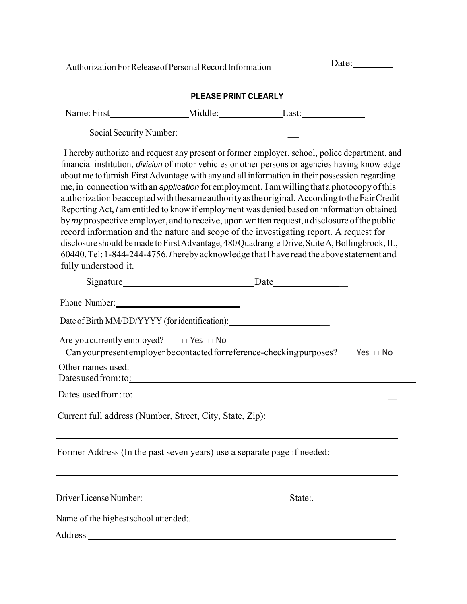Authorization For Release of Personal Record Information Date: Date:

## **PLEASE PRINT CLEARLY**

|                                                                                                                                                                                                                                                                                                                                                                                                                                                                                                                                                                                                                                                                                                                                                                                                                                                                                                                            | Social Security Number: |                                                                                               |  |
|----------------------------------------------------------------------------------------------------------------------------------------------------------------------------------------------------------------------------------------------------------------------------------------------------------------------------------------------------------------------------------------------------------------------------------------------------------------------------------------------------------------------------------------------------------------------------------------------------------------------------------------------------------------------------------------------------------------------------------------------------------------------------------------------------------------------------------------------------------------------------------------------------------------------------|-------------------------|-----------------------------------------------------------------------------------------------|--|
| financial institution, division of motor vehicles or other persons or agencies having knowledge<br>about me to furnish First Advantage with any and all information in their possession regarding<br>me, in connection with an <i>application</i> for employment. I am willing that a photocopy of this<br>authorization be accepted with the same authority as the original. According to the Fair Credit<br>Reporting Act, I am entitled to know if employment was denied based on information obtained<br>by my prospective employer, and to receive, upon written request, a disclosure of the public<br>record information and the nature and scope of the investigating report. A request for<br>disclosure should be made to First Advantage, 480 Quadrangle Drive, Suite A, Bollingbrook, IL,<br>60440. Tel: 1-844-244-4756. / hereby acknowledge that I have read the above statement and<br>fully understood it. |                         | I hereby authorize and request any present or former employer, school, police department, and |  |
|                                                                                                                                                                                                                                                                                                                                                                                                                                                                                                                                                                                                                                                                                                                                                                                                                                                                                                                            |                         |                                                                                               |  |
| Phone Number: 1988                                                                                                                                                                                                                                                                                                                                                                                                                                                                                                                                                                                                                                                                                                                                                                                                                                                                                                         |                         |                                                                                               |  |
| Date of Birth MM/DD/YYYY (for identification): _________________________________                                                                                                                                                                                                                                                                                                                                                                                                                                                                                                                                                                                                                                                                                                                                                                                                                                           |                         |                                                                                               |  |
| Are you currently employed? $\Box$ Yes $\Box$ No                                                                                                                                                                                                                                                                                                                                                                                                                                                                                                                                                                                                                                                                                                                                                                                                                                                                           |                         | Can your present employer becontacted for reference-checking purposes? $\Box$ Yes $\Box$ No   |  |
| Other names used:<br>Dates used from: to: Note that the set of the set of the set of the set of the set of the set of the set of the set of the set of the set of the set of the set of the set of the set of the set of the set of the set of the                                                                                                                                                                                                                                                                                                                                                                                                                                                                                                                                                                                                                                                                         |                         |                                                                                               |  |
|                                                                                                                                                                                                                                                                                                                                                                                                                                                                                                                                                                                                                                                                                                                                                                                                                                                                                                                            |                         |                                                                                               |  |
| Current full address (Number, Street, City, State, Zip):                                                                                                                                                                                                                                                                                                                                                                                                                                                                                                                                                                                                                                                                                                                                                                                                                                                                   |                         |                                                                                               |  |
| Former Address (In the past seven years) use a separate page if needed:                                                                                                                                                                                                                                                                                                                                                                                                                                                                                                                                                                                                                                                                                                                                                                                                                                                    |                         |                                                                                               |  |
|                                                                                                                                                                                                                                                                                                                                                                                                                                                                                                                                                                                                                                                                                                                                                                                                                                                                                                                            |                         |                                                                                               |  |
|                                                                                                                                                                                                                                                                                                                                                                                                                                                                                                                                                                                                                                                                                                                                                                                                                                                                                                                            |                         |                                                                                               |  |
|                                                                                                                                                                                                                                                                                                                                                                                                                                                                                                                                                                                                                                                                                                                                                                                                                                                                                                                            |                         |                                                                                               |  |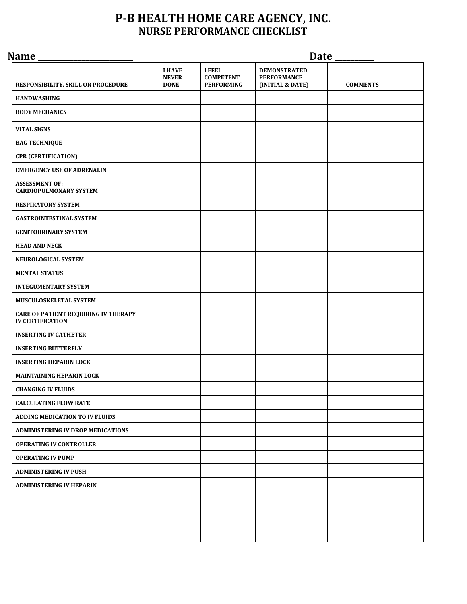## **P-B HEALTH HOME CARE AGENCY, INC. NURSE PERFORMANCE CHECKLIST**

| Name                                                                   | Date _____                                   |                                                        |                                                               |                 |  |  |
|------------------------------------------------------------------------|----------------------------------------------|--------------------------------------------------------|---------------------------------------------------------------|-----------------|--|--|
| RESPONSIBILITY, SKILL OR PROCEDURE                                     | <b>I HAVE</b><br><b>NEVER</b><br><b>DONE</b> | <b>I FEEL</b><br><b>COMPETENT</b><br><b>PERFORMING</b> | <b>DEMONSTRATED</b><br><b>PERFORMANCE</b><br>(INITIAL & DATE) | <b>COMMENTS</b> |  |  |
| <b>HANDWASHING</b>                                                     |                                              |                                                        |                                                               |                 |  |  |
| <b>BODY MECHANICS</b>                                                  |                                              |                                                        |                                                               |                 |  |  |
| <b>VITAL SIGNS</b>                                                     |                                              |                                                        |                                                               |                 |  |  |
| <b>BAG TECHNIQUE</b>                                                   |                                              |                                                        |                                                               |                 |  |  |
| <b>CPR (CERTIFICATION)</b>                                             |                                              |                                                        |                                                               |                 |  |  |
| <b>EMERGENCY USE OF ADRENALIN</b>                                      |                                              |                                                        |                                                               |                 |  |  |
| <b>ASSESSMENT OF:</b><br><b>CARDIOPULMONARY SYSTEM</b>                 |                                              |                                                        |                                                               |                 |  |  |
| <b>RESPIRATORY SYSTEM</b>                                              |                                              |                                                        |                                                               |                 |  |  |
| <b>GASTROINTESTINAL SYSTEM</b>                                         |                                              |                                                        |                                                               |                 |  |  |
| <b>GENITOURINARY SYSTEM</b>                                            |                                              |                                                        |                                                               |                 |  |  |
| <b>HEAD AND NECK</b>                                                   |                                              |                                                        |                                                               |                 |  |  |
| NEUROLOGICAL SYSTEM                                                    |                                              |                                                        |                                                               |                 |  |  |
| <b>MENTAL STATUS</b>                                                   |                                              |                                                        |                                                               |                 |  |  |
| <b>INTEGUMENTARY SYSTEM</b>                                            |                                              |                                                        |                                                               |                 |  |  |
| MUSCULOSKELETAL SYSTEM                                                 |                                              |                                                        |                                                               |                 |  |  |
| <b>CARE OF PATIENT REQUIRING IV THERAPY</b><br><b>IV CERTIFICATION</b> |                                              |                                                        |                                                               |                 |  |  |
| <b>INSERTING IV CATHETER</b>                                           |                                              |                                                        |                                                               |                 |  |  |
| <b>INSERTING BUTTERFLY</b>                                             |                                              |                                                        |                                                               |                 |  |  |
| <b>INSERTING HEPARIN LOCK</b>                                          |                                              |                                                        |                                                               |                 |  |  |
| <b>MAINTAINING HEPARIN LOCK</b>                                        |                                              |                                                        |                                                               |                 |  |  |
| <b>CHANGING IV FLUIDS</b>                                              |                                              |                                                        |                                                               |                 |  |  |
| <b>CALCULATING FLOW RATE</b>                                           |                                              |                                                        |                                                               |                 |  |  |
| ADDING MEDICATION TO IV FLUIDS                                         |                                              |                                                        |                                                               |                 |  |  |
| <b>ADMINISTERING IV DROP MEDICATIONS</b>                               |                                              |                                                        |                                                               |                 |  |  |
| <b>OPERATING IV CONTROLLER</b>                                         |                                              |                                                        |                                                               |                 |  |  |
| <b>OPERATING IV PUMP</b>                                               |                                              |                                                        |                                                               |                 |  |  |
| <b>ADMINISTERING IV PUSH</b>                                           |                                              |                                                        |                                                               |                 |  |  |
| <b>ADMINISTERING IV HEPARIN</b>                                        |                                              |                                                        |                                                               |                 |  |  |
|                                                                        |                                              |                                                        |                                                               |                 |  |  |
|                                                                        |                                              |                                                        |                                                               |                 |  |  |
|                                                                        |                                              |                                                        |                                                               |                 |  |  |
|                                                                        |                                              |                                                        |                                                               |                 |  |  |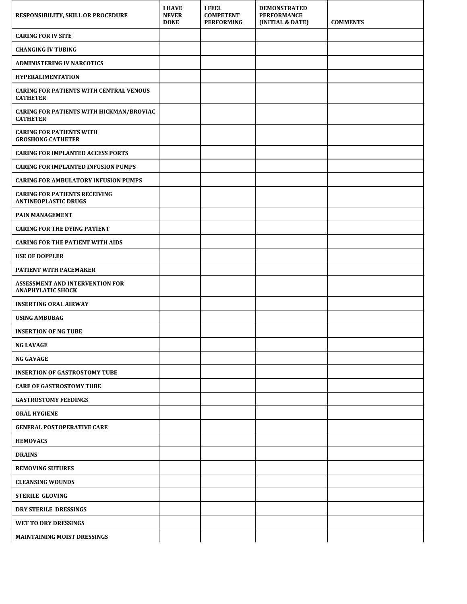| RESPONSIBILITY, SKILL OR PROCEDURE                                  | <b>I HAVE</b><br><b>NEVER</b><br><b>DONE</b> | <b>I FEEL</b><br><b>COMPETENT</b><br><b>PERFORMING</b> | <b>DEMONSTRATED</b><br><b>PERFORMANCE</b><br>(INITIAL & DATE) | <b>COMMENTS</b> |
|---------------------------------------------------------------------|----------------------------------------------|--------------------------------------------------------|---------------------------------------------------------------|-----------------|
| <b>CARING FOR IV SITE</b>                                           |                                              |                                                        |                                                               |                 |
| <b>CHANGING IV TUBING</b>                                           |                                              |                                                        |                                                               |                 |
| <b>ADMINISTERING IV NARCOTICS</b>                                   |                                              |                                                        |                                                               |                 |
| <b>HYPERALIMENTATION</b>                                            |                                              |                                                        |                                                               |                 |
| <b>CARING FOR PATIENTS WITH CENTRAL VENOUS</b><br><b>CATHETER</b>   |                                              |                                                        |                                                               |                 |
| <b>CARING FOR PATIENTS WITH HICKMAN/BROVIAC</b><br><b>CATHETER</b>  |                                              |                                                        |                                                               |                 |
| <b>CARING FOR PATIENTS WITH</b><br><b>GROSHONG CATHETER</b>         |                                              |                                                        |                                                               |                 |
| <b>CARING FOR IMPLANTED ACCESS PORTS</b>                            |                                              |                                                        |                                                               |                 |
| <b>CARING FOR IMPLANTED INFUSION PUMPS</b>                          |                                              |                                                        |                                                               |                 |
| <b>CARING FOR AMBULATORY INFUSION PUMPS</b>                         |                                              |                                                        |                                                               |                 |
| <b>CARING FOR PATIENTS RECEIVING</b><br><b>ANTINEOPLASTIC DRUGS</b> |                                              |                                                        |                                                               |                 |
| <b>PAIN MANAGEMENT</b>                                              |                                              |                                                        |                                                               |                 |
| <b>CARING FOR THE DYING PATIENT</b>                                 |                                              |                                                        |                                                               |                 |
| <b>CARING FOR THE PATIENT WITH AIDS</b>                             |                                              |                                                        |                                                               |                 |
| <b>USE OF DOPPLER</b>                                               |                                              |                                                        |                                                               |                 |
| PATIENT WITH PACEMAKER                                              |                                              |                                                        |                                                               |                 |
| ASSESSMENT AND INTERVENTION FOR<br><b>ANAPHYLATIC SHOCK</b>         |                                              |                                                        |                                                               |                 |
| <b>INSERTING ORAL AIRWAY</b>                                        |                                              |                                                        |                                                               |                 |
| <b>USING AMBUBAG</b>                                                |                                              |                                                        |                                                               |                 |
| <b>INSERTION OF NG TUBE</b>                                         |                                              |                                                        |                                                               |                 |
| <b>NG LAVAGE</b>                                                    |                                              |                                                        |                                                               |                 |
| <b>NG GAVAGE</b>                                                    |                                              |                                                        |                                                               |                 |
| <b>INSERTION OF GASTROSTOMY TUBE</b>                                |                                              |                                                        |                                                               |                 |
| <b>CARE OF GASTROSTOMY TUBE</b>                                     |                                              |                                                        |                                                               |                 |
| <b>GASTROSTOMY FEEDINGS</b>                                         |                                              |                                                        |                                                               |                 |
| <b>ORAL HYGIENE</b>                                                 |                                              |                                                        |                                                               |                 |
| <b>GENERAL POSTOPERATIVE CARE</b>                                   |                                              |                                                        |                                                               |                 |
| <b>HEMOVACS</b>                                                     |                                              |                                                        |                                                               |                 |
| <b>DRAINS</b>                                                       |                                              |                                                        |                                                               |                 |
| <b>REMOVING SUTURES</b>                                             |                                              |                                                        |                                                               |                 |
| <b>CLEANSING WOUNDS</b>                                             |                                              |                                                        |                                                               |                 |
| <b>STERILE GLOVING</b>                                              |                                              |                                                        |                                                               |                 |
| DRY STERILE DRESSINGS                                               |                                              |                                                        |                                                               |                 |
| WET TO DRY DRESSINGS                                                |                                              |                                                        |                                                               |                 |
| MAINTAINING MOIST DRESSINGS                                         |                                              |                                                        |                                                               |                 |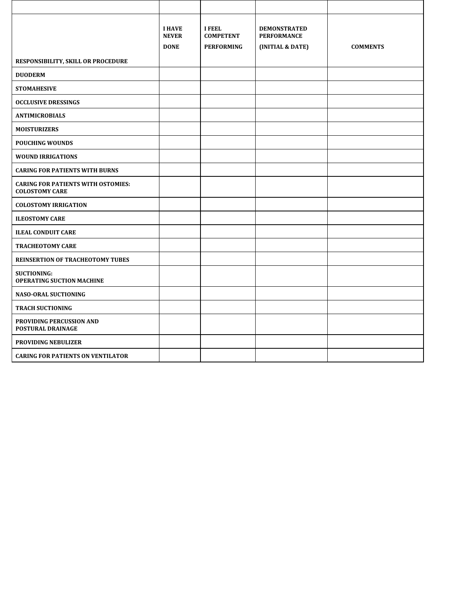|                                                                    | <b>I HAVE</b><br><b>NEVER</b><br><b>DONE</b> | <b>I FEEL</b><br><b>COMPETENT</b><br><b>PERFORMING</b> | <b>DEMONSTRATED</b><br><b>PERFORMANCE</b><br>(INITIAL & DATE) | <b>COMMENTS</b> |
|--------------------------------------------------------------------|----------------------------------------------|--------------------------------------------------------|---------------------------------------------------------------|-----------------|
| RESPONSIBILITY, SKILL OR PROCEDURE                                 |                                              |                                                        |                                                               |                 |
| <b>DUODERM</b>                                                     |                                              |                                                        |                                                               |                 |
| <b>STOMAHESIVE</b>                                                 |                                              |                                                        |                                                               |                 |
| <b>OCCLUSIVE DRESSINGS</b>                                         |                                              |                                                        |                                                               |                 |
| <b>ANTIMICROBIALS</b>                                              |                                              |                                                        |                                                               |                 |
| <b>MOISTURIZERS</b>                                                |                                              |                                                        |                                                               |                 |
| <b>POUCHING WOUNDS</b>                                             |                                              |                                                        |                                                               |                 |
| <b>WOUND IRRIGATIONS</b>                                           |                                              |                                                        |                                                               |                 |
| <b>CARING FOR PATIENTS WITH BURNS</b>                              |                                              |                                                        |                                                               |                 |
| <b>CARING FOR PATIENTS WITH OSTOMIES:</b><br><b>COLOSTOMY CARE</b> |                                              |                                                        |                                                               |                 |
| <b>COLOSTOMY IRRIGATION</b>                                        |                                              |                                                        |                                                               |                 |
| <b>ILEOSTOMY CARE</b>                                              |                                              |                                                        |                                                               |                 |
| <b>ILEAL CONDUIT CARE</b>                                          |                                              |                                                        |                                                               |                 |
| <b>TRACHEOTOMY CARE</b>                                            |                                              |                                                        |                                                               |                 |
| <b>REINSERTION OF TRACHEOTOMY TUBES</b>                            |                                              |                                                        |                                                               |                 |
| <b>SUCTIONING:</b><br><b>OPERATING SUCTION MACHINE</b>             |                                              |                                                        |                                                               |                 |
| <b>NASO-ORAL SUCTIONING</b>                                        |                                              |                                                        |                                                               |                 |
| <b>TRACH SUCTIONING</b>                                            |                                              |                                                        |                                                               |                 |
| PROVIDING PERCUSSION AND<br>POSTURAL DRAINAGE                      |                                              |                                                        |                                                               |                 |
| <b>PROVIDING NEBULIZER</b>                                         |                                              |                                                        |                                                               |                 |
| <b>CARING FOR PATIENTS ON VENTILATOR</b>                           |                                              |                                                        |                                                               |                 |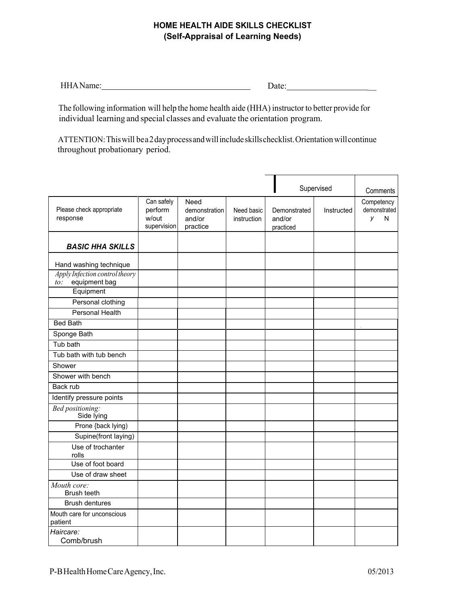### **HOME HEALTH AIDE SKILLS CHECKLIST (Self-Appraisal of Learning Needs)**

| н<br>ļ | ---- |  |
|--------|------|--|
|        |      |  |

The following information will help the home health aide (HHA) instructorto better provide for individual learning and special classes and evaluate the orientation program.

ATTENTION:Thiswill be a 2 dayprocessandwillincludeskillschecklist.Orientationwillcontinue throughout probationary period.

|                                                           |                                               |                                             |                           |                                     | Supervised | Comments                             |
|-----------------------------------------------------------|-----------------------------------------------|---------------------------------------------|---------------------------|-------------------------------------|------------|--------------------------------------|
| Please check appropriate<br>response                      | Can safely<br>perform<br>w/out<br>supervision | Need<br>demonstration<br>and/or<br>practice | Need basic<br>instruction | Demonstrated<br>and/or<br>practiced | Instructed | Competency<br>demonstrated<br>V<br>N |
| <b>BASIC HHA SKILLS</b>                                   |                                               |                                             |                           |                                     |            |                                      |
| Hand washing technique                                    |                                               |                                             |                           |                                     |            |                                      |
| Apply Infection control theory<br>equipment bag<br>$to$ : |                                               |                                             |                           |                                     |            |                                      |
| Equipment                                                 |                                               |                                             |                           |                                     |            |                                      |
| Personal clothing                                         |                                               |                                             |                           |                                     |            |                                      |
| <b>Personal Health</b>                                    |                                               |                                             |                           |                                     |            |                                      |
| <b>Bed Bath</b>                                           |                                               |                                             |                           |                                     |            |                                      |
| Sponge Bath                                               |                                               |                                             |                           |                                     |            |                                      |
| Tub bath                                                  |                                               |                                             |                           |                                     |            |                                      |
| Tub bath with tub bench                                   |                                               |                                             |                           |                                     |            |                                      |
| Shower                                                    |                                               |                                             |                           |                                     |            |                                      |
| Shower with bench                                         |                                               |                                             |                           |                                     |            |                                      |
| Back rub                                                  |                                               |                                             |                           |                                     |            |                                      |
| Identify pressure points                                  |                                               |                                             |                           |                                     |            |                                      |
| <b>Bed</b> positioning:<br>Side lying                     |                                               |                                             |                           |                                     |            |                                      |
| Prone {back lying)                                        |                                               |                                             |                           |                                     |            |                                      |
| Supine(front laying)                                      |                                               |                                             |                           |                                     |            |                                      |
| Use of trochanter<br>rolls                                |                                               |                                             |                           |                                     |            |                                      |
| Use of foot board                                         |                                               |                                             |                           |                                     |            |                                      |
| Use of draw sheet                                         |                                               |                                             |                           |                                     |            |                                      |
| Mouth core:<br>Brush teeth                                |                                               |                                             |                           |                                     |            |                                      |
| <b>Brush dentures</b>                                     |                                               |                                             |                           |                                     |            |                                      |
| Mouth care for unconscious<br>patient                     |                                               |                                             |                           |                                     |            |                                      |
| Haircare:<br>Comb/brush                                   |                                               |                                             |                           |                                     |            |                                      |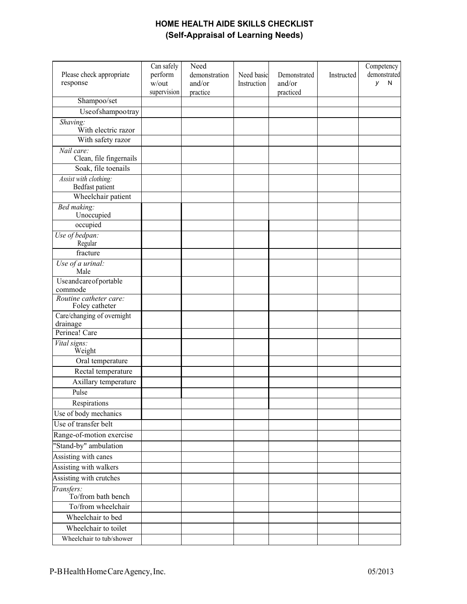## **HOME HEALTH AIDE SKILLS CHECKLIST (Self-Appraisal of Learning Needs)**

| Please check appropriate<br>response     | Can safely<br>perform<br>w/out<br>supervision | Need<br>demonstration<br>and/or<br>practice | Need basic<br>Instruction | Demonstrated<br>and/or<br>practiced | Instructed | Competency<br>demonstrated<br>y<br>N |
|------------------------------------------|-----------------------------------------------|---------------------------------------------|---------------------------|-------------------------------------|------------|--------------------------------------|
| Shampoo/set                              |                                               |                                             |                           |                                     |            |                                      |
| Useofshampootray                         |                                               |                                             |                           |                                     |            |                                      |
| Shaving:<br>With electric razor          |                                               |                                             |                           |                                     |            |                                      |
| With safety razor                        |                                               |                                             |                           |                                     |            |                                      |
| Nail care:<br>Clean, file fingernails    |                                               |                                             |                           |                                     |            |                                      |
| Soak, file toenails                      |                                               |                                             |                           |                                     |            |                                      |
| Assist with clothing:<br>Bedfast patient |                                               |                                             |                           |                                     |            |                                      |
| Wheelchair patient                       |                                               |                                             |                           |                                     |            |                                      |
| Bed making:<br>Unoccupied                |                                               |                                             |                           |                                     |            |                                      |
| occupied                                 |                                               |                                             |                           |                                     |            |                                      |
| Use of bedpan:<br>Regular                |                                               |                                             |                           |                                     |            |                                      |
| fracture                                 |                                               |                                             |                           |                                     |            |                                      |
| Use of a urinal:<br>Male                 |                                               |                                             |                           |                                     |            |                                      |
| Useandcareofportable<br>commode          |                                               |                                             |                           |                                     |            |                                      |
| Routine catheter care:<br>Foley catheter |                                               |                                             |                           |                                     |            |                                      |
| Care/changing of overnight<br>drainage   |                                               |                                             |                           |                                     |            |                                      |
| Perinea! Care                            |                                               |                                             |                           |                                     |            |                                      |
| Vital signs:<br>Weight                   |                                               |                                             |                           |                                     |            |                                      |
| Oral temperature                         |                                               |                                             |                           |                                     |            |                                      |
| Rectal temperature                       |                                               |                                             |                           |                                     |            |                                      |
| Axillary temperature                     |                                               |                                             |                           |                                     |            |                                      |
| Pulse                                    |                                               |                                             |                           |                                     |            |                                      |
| Respirations                             |                                               |                                             |                           |                                     |            |                                      |
| Use of body mechanics                    |                                               |                                             |                           |                                     |            |                                      |
| Use of transfer belt                     |                                               |                                             |                           |                                     |            |                                      |
| Range-of-motion exercise                 |                                               |                                             |                           |                                     |            |                                      |
| "Stand-by" ambulation                    |                                               |                                             |                           |                                     |            |                                      |
| Assisting with canes                     |                                               |                                             |                           |                                     |            |                                      |
| Assisting with walkers                   |                                               |                                             |                           |                                     |            |                                      |
| Assisting with crutches                  |                                               |                                             |                           |                                     |            |                                      |
| Transfers:<br>To/from bath bench         |                                               |                                             |                           |                                     |            |                                      |
| To/from wheelchair                       |                                               |                                             |                           |                                     |            |                                      |
| Wheelchair to bed                        |                                               |                                             |                           |                                     |            |                                      |
| Wheelchair to toilet                     |                                               |                                             |                           |                                     |            |                                      |
| Wheelchair to tub/shower                 |                                               |                                             |                           |                                     |            |                                      |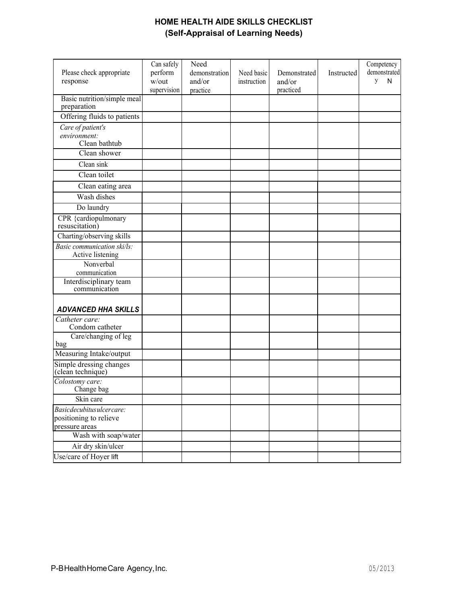## **HOME HEALTH AIDE SKILLS CHECKLIST (Self-Appraisal of Learning Needs)**

| Please check appropriate<br>response                                 | Can safely<br>perform<br>$w/$ out<br>supervision | Need<br>demonstration<br>and/or<br>practice | Need basic<br>instruction | Demonstrated<br>and/or<br>practiced | Instructed | Competency<br>demonstrated<br>y<br>${\sf N}$ |
|----------------------------------------------------------------------|--------------------------------------------------|---------------------------------------------|---------------------------|-------------------------------------|------------|----------------------------------------------|
| Basic nutrition/simple meal<br>preparation                           |                                                  |                                             |                           |                                     |            |                                              |
| Offering fluids to patients                                          |                                                  |                                             |                           |                                     |            |                                              |
| Care of patient's<br>environment:<br>Clean bathtub                   |                                                  |                                             |                           |                                     |            |                                              |
| Clean shower                                                         |                                                  |                                             |                           |                                     |            |                                              |
| Clean sink                                                           |                                                  |                                             |                           |                                     |            |                                              |
| Clean toilet                                                         |                                                  |                                             |                           |                                     |            |                                              |
| Clean eating area                                                    |                                                  |                                             |                           |                                     |            |                                              |
| Wash dishes                                                          |                                                  |                                             |                           |                                     |            |                                              |
| Do laundry                                                           |                                                  |                                             |                           |                                     |            |                                              |
| CPR {cardiopulmonary<br>resuscitation)                               |                                                  |                                             |                           |                                     |            |                                              |
| Charting/observing skills                                            |                                                  |                                             |                           |                                     |            |                                              |
| Basic communication ski/ls:<br>Active listening                      |                                                  |                                             |                           |                                     |            |                                              |
| Nonverbal<br>communication                                           |                                                  |                                             |                           |                                     |            |                                              |
| Interdisciplinary team<br>communication                              |                                                  |                                             |                           |                                     |            |                                              |
| <b>ADVANCED HHA SKILLS</b>                                           |                                                  |                                             |                           |                                     |            |                                              |
| Catheter care:<br>Condom catheter                                    |                                                  |                                             |                           |                                     |            |                                              |
| Care/changing of leg<br>bag                                          |                                                  |                                             |                           |                                     |            |                                              |
| Measuring Intake/output                                              |                                                  |                                             |                           |                                     |            |                                              |
| Simple dressing changes<br>(clean technique)                         |                                                  |                                             |                           |                                     |            |                                              |
| Colostomy care:<br>Change bag                                        |                                                  |                                             |                           |                                     |            |                                              |
| Skin care                                                            |                                                  |                                             |                           |                                     |            |                                              |
| Basicdecubitusulcercare:<br>positioning to relieve<br>pressure areas |                                                  |                                             |                           |                                     |            |                                              |
| Wash with soap/water                                                 |                                                  |                                             |                           |                                     |            |                                              |
| Air dry skin/ulcer                                                   |                                                  |                                             |                           |                                     |            |                                              |
| Use/care of Hoyer lift                                               |                                                  |                                             |                           |                                     |            |                                              |